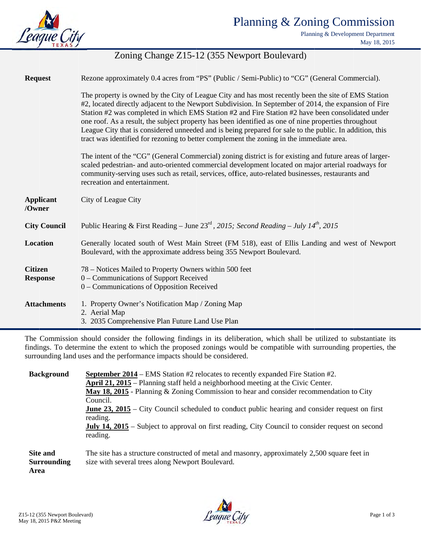

# Planning & Zoning Commission

Planning & Development Department May 18, 2015

### Zoning Change Z15-12 (355 Newport Boulevard)

| <b>Request</b>                    | Rezone approximately 0.4 acres from "PS" (Public / Semi-Public) to "CG" (General Commercial).                                                                                                                                                                                                                                                                                                                                                                                                                                                                                                                                    |  |
|-----------------------------------|----------------------------------------------------------------------------------------------------------------------------------------------------------------------------------------------------------------------------------------------------------------------------------------------------------------------------------------------------------------------------------------------------------------------------------------------------------------------------------------------------------------------------------------------------------------------------------------------------------------------------------|--|
|                                   | The property is owned by the City of League City and has most recently been the site of EMS Station<br>#2, located directly adjacent to the Newport Subdivision. In September of 2014, the expansion of Fire<br>Station #2 was completed in which EMS Station #2 and Fire Station #2 have been consolidated under<br>one roof. As a result, the subject property has been identified as one of nine properties throughout<br>League City that is considered unneeded and is being prepared for sale to the public. In addition, this<br>tract was identified for rezoning to better complement the zoning in the immediate area. |  |
|                                   | The intent of the "CG" (General Commercial) zoning district is for existing and future areas of larger-<br>scaled pedestrian- and auto-oriented commercial development located on major arterial roadways for<br>community-serving uses such as retail, services, office, auto-related businesses, restaurants and<br>recreation and entertainment.                                                                                                                                                                                                                                                                              |  |
| <b>Applicant</b><br>/Owner        | City of League City                                                                                                                                                                                                                                                                                                                                                                                                                                                                                                                                                                                                              |  |
| <b>City Council</b>               | Public Hearing & First Reading – June $23^{\text{rd}}$ , 2015; Second Reading – July 14 <sup>th</sup> , 2015                                                                                                                                                                                                                                                                                                                                                                                                                                                                                                                     |  |
| <b>Location</b>                   | Generally located south of West Main Street (FM 518), east of Ellis Landing and west of Newport<br>Boulevard, with the approximate address being 355 Newport Boulevard.                                                                                                                                                                                                                                                                                                                                                                                                                                                          |  |
| <b>Citizen</b><br><b>Response</b> | 78 – Notices Mailed to Property Owners within 500 feet<br>0 – Communications of Support Received<br>0 – Communications of Opposition Received                                                                                                                                                                                                                                                                                                                                                                                                                                                                                    |  |
| <b>Attachments</b>                | 1. Property Owner's Notification Map / Zoning Map<br>2. Aerial Map<br>3. 2035 Comprehensive Plan Future Land Use Plan                                                                                                                                                                                                                                                                                                                                                                                                                                                                                                            |  |

The Commission should consider the following findings in its deliberation, which shall be utilized to substantiate its findings. To determine the extent to which the proposed zonings would be compatible with surrounding properties, the surrounding land uses and the performance impacts should be considered.

**Background** September 2014 – EMS Station #2 relocates to recently expanded Fire Station #2. April 21, 2015 – Planning staff held a neighborhood meeting at the Civic Center. May 18, 2015 - Planning & Zoning Commission to hear and consider recommendation to City Council. **June 23, 2015** – City Council scheduled to conduct public hearing and consider request on first reading. July 14, 2015 – Subject to approval on first reading, City Council to consider request on second reading. Site and The site has a structure constructed of metal and masonry, approximately 2,500 square feet in **Surrounding** size with several trees along Newport Boulevard. **Area** 

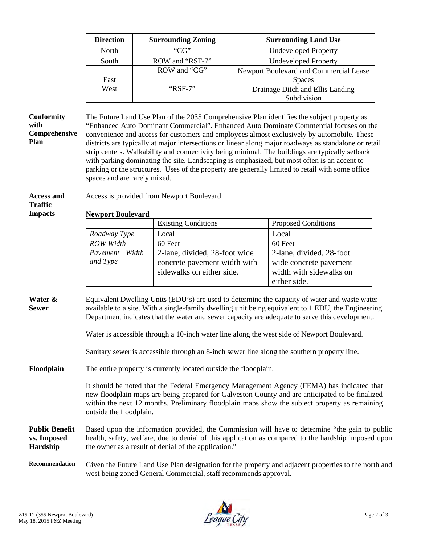| <b>Direction</b>                                                                           | <b>Surrounding Zoning</b> | <b>Surrounding Land Use</b>            |  |
|--------------------------------------------------------------------------------------------|---------------------------|----------------------------------------|--|
| North                                                                                      | " $CG$ "                  | <b>Undeveloped Property</b>            |  |
| South                                                                                      | ROW and "RSF-7"           | <b>Undeveloped Property</b>            |  |
|                                                                                            | ROW and "CG"              | Newport Boulevard and Commercial Lease |  |
| East                                                                                       |                           | <b>Spaces</b>                          |  |
| West                                                                                       | $"RSF-7"$                 | Drainage Ditch and Ellis Landing       |  |
|                                                                                            |                           | Subdivision                            |  |
|                                                                                            |                           |                                        |  |
| The Future Land Use Plan of the 2035 Comprehensive Plan identifies the subject property as |                           |                                        |  |

**Conformity with Com hmprehensive Plan n**<br>cess and

**Directio**<br>
North<br>
South<br>
East<br>
West<br>
The Future<br>
"Enhanced convenienc<br>
districts are<br>
strip center:<br>
with parking or t<br>
spaces and<br>
Access is p<br>
Newport B<br>
Roadway<br>
Row Wid<br>
Pavement<br>
and Type<br>
Equivalent<br>
available to<br>
D "Enhanced Auto Dominant Commercial". Enhanced Auto Dominate Commercial focuses on the convenience and access for customers and employees almost exclusively by automobile. These districts are typically at major intersections or linear along major roadways as standalone or retail strip centers. Walkability and connectivity being minimal. The buildings are typically setback with parking dominating the site. Landscaping is emphasized, but most often is an accent to parking or the structures. Uses of the property are generally limited to retail with some office spaces and are rarely mixed.

**Access and Tra affic** 

Access is provided from Newport Boulevard.

## **Imp pacts**

**Newport B Boulevard**

|                            | <b>Existing Conditions</b>                                                                 | <b>Proposed Conditions</b>                                                                    |
|----------------------------|--------------------------------------------------------------------------------------------|-----------------------------------------------------------------------------------------------|
| Roadway Type               | Local                                                                                      | Local                                                                                         |
| <b>ROW</b> Width           | 60 Feet                                                                                    | 60 Feet                                                                                       |
| Pavement Width<br>and Type | 2-lane, divided, 28-foot wide<br>concrete pavement width with<br>sidewalks on either side. | 2-lane, divided, 28-foot<br>wide concrete pavement<br>width with sidewalks on<br>either side. |

**Wa ater & Sew wer** Equivalent Dwelling Units (EDU's) are used to determine the capacity of water and waste water available to a site. With a single-family dwelling unit being equivalent to 1 EDU, the Engineering Department indicates that the water and sewer capacity are adequate to serve this development.

Water is accessible through a 10-inch water line along the west side of Newport Boulevard.

Sanitary sewer is accessible through an 8-inch sewer line along the southern property line.

**Flo odplain**  The entire property is currently located outside the floodplain.

> It should be noted that the Federal Emergency Management Agency (FEMA) has indicated that new floodplain maps are being prepared for Galveston County and are anticipated to be finalized within the next 12 months. Preliminary floodplain maps show the subject property as remaining outside the floodplain.

- **Pub blic Benefit vs. Imposed Har rdship** Based upon the information provided, the Commission will have to determine "the gain to public health, safety, welfare, due to denial of this application as compared to the hardship imposed upon the owner as a result of denial of the application."
- **Reco ommendation**  the owner as a result of denial of the application."<br>Given the Future Land Use Plan designation for the property and adjacent properties to the north and west being zoned General Commercial, staff recommends approval.

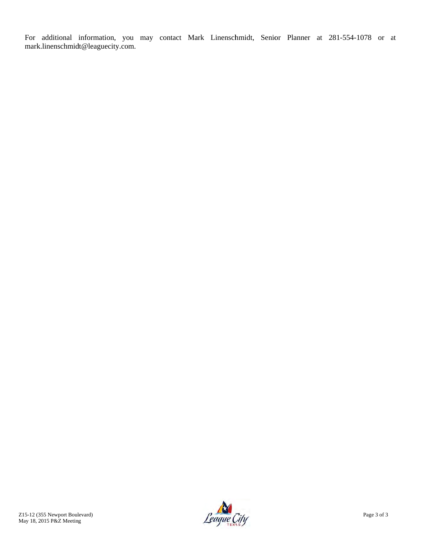For mark additional k.linenschmidt@leaguecity information,<br>It @ leaguecity<br>g you may .com. contact Mark Linenschmidt, Senior Planner at 281-554-1078 or at

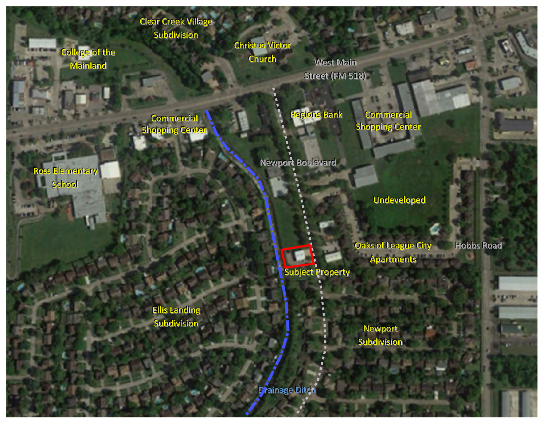College of the **Mainland** 

> **Commercial Shopping Center**

**Clear Creek Village Subdivision** 

Street (FM 518)

**West Main** 

Regions Bank

**Commercial Shopping Center** 

Newport Boulevard

Christus Victor

**Church** 

**Undeveloped** 

**Apartments Subject Property** 

**Oaks of League City** Hobbs Road

**Ellis Landing** Subdivision

**Newport Subdivision** 

Drainage Ditch

**Ross Elementary** School

 $m = 1$